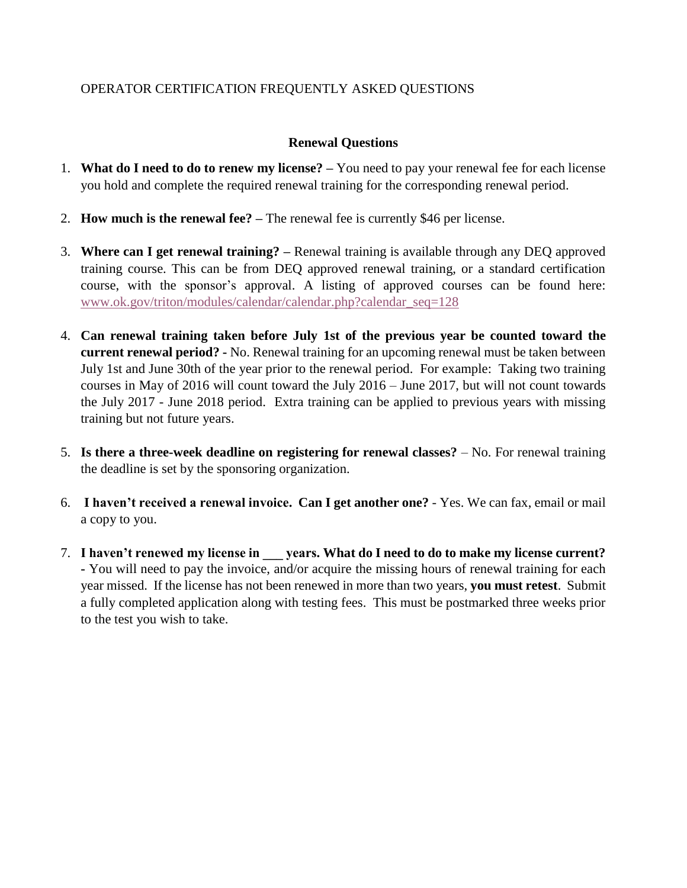# OPERATOR CERTIFICATION FREQUENTLY ASKED QUESTIONS

### **Renewal Questions**

- 1. **What do I need to do to renew my license? –** You need to pay your renewal fee for each license you hold and complete the required renewal training for the corresponding renewal period.
- 2. **How much is the renewal fee? –** The renewal fee is currently \$46 per license.
- 3. **Where can I get renewal training? –** Renewal training is available through any DEQ approved training course. This can be from DEQ approved renewal training, or a standard certification course, with the sponsor's approval. A listing of approved courses can be found here: [www.ok.gov/triton/modules/calendar/calendar.php?calendar\\_seq=128](http://www.ok.gov/triton/modules/calendar/calendar.php?calendar_seq=128)
- 4. **Can renewal training taken before July 1st of the previous year be counted toward the current renewal period? -** No. Renewal training for an upcoming renewal must be taken between July 1st and June 30th of the year prior to the renewal period. For example: Taking two training courses in May of 2016 will count toward the July 2016 – June 2017, but will not count towards the July 2017 - June 2018 period. Extra training can be applied to previous years with missing training but not future years.
- 5. **Is there a three-week deadline on registering for renewal classes?** No. For renewal training the deadline is set by the sponsoring organization.
- 6. **I haven't received a renewal invoice. Can I get another one?** Yes. We can fax, email or mail a copy to you.
- 7. **I haven't renewed my license in \_\_\_ years. What do I need to do to make my license current? -** You will need to pay the invoice, and/or acquire the missing hours of renewal training for each year missed. If the license has not been renewed in more than two years, **you must retest**. Submit a fully completed application along with testing fees. This must be postmarked three weeks prior to the test you wish to take.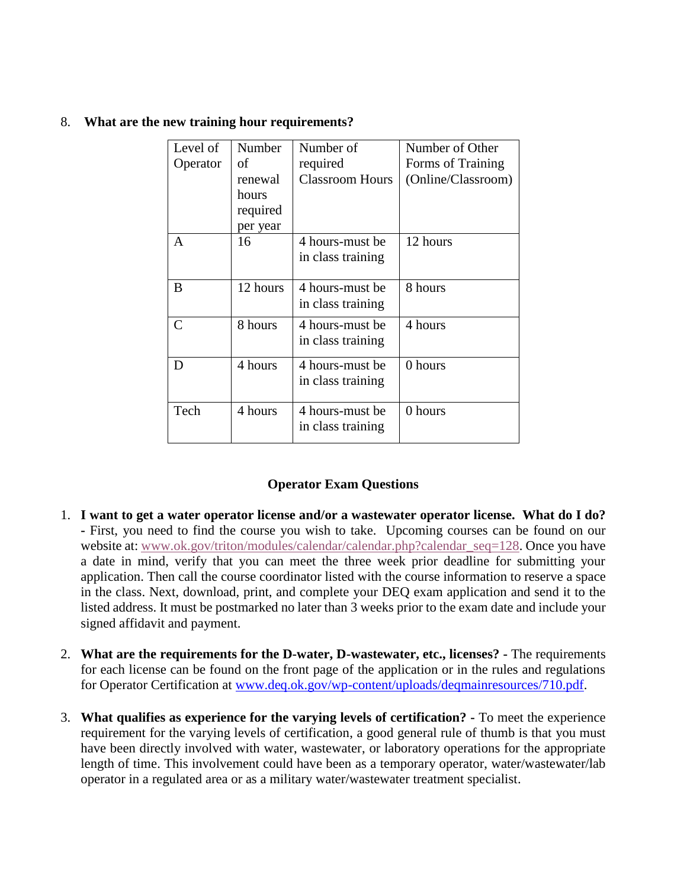#### 8. **What are the new training hour requirements?**

| Level of<br>Operator | Number<br>οf | Number of<br>required  | Number of Other<br>Forms of Training |
|----------------------|--------------|------------------------|--------------------------------------|
|                      | renewal      | <b>Classroom Hours</b> | (Online/Classroom)                   |
|                      | hours        |                        |                                      |
|                      | required     |                        |                                      |
|                      | per year     |                        |                                      |
| A                    | 16           | 4 hours-must be        | 12 hours                             |
|                      |              | in class training      |                                      |
|                      |              |                        |                                      |
| B                    | 12 hours     | 4 hours-must be        | 8 hours                              |
|                      |              | in class training      |                                      |
| $\mathcal{C}$        | 8 hours      | 4 hours-must be        | 4 hours                              |
|                      |              | in class training      |                                      |
| D                    | 4 hours      | 4 hours-must be        | 0 hours                              |
|                      |              | in class training      |                                      |
|                      |              |                        |                                      |
| Tech                 | 4 hours      | 4 hours-must be        | 0 hours                              |
|                      |              | in class training      |                                      |
|                      |              |                        |                                      |

## **Operator Exam Questions**

- 1. **I want to get a water operator license and/or a wastewater operator license. What do I do? -** First, you need to find the course you wish to take. Upcoming courses can be found on our website at: [www.ok.gov/triton/modules/calendar/calendar.php?calendar\\_seq=128.](http://www.ok.gov/triton/modules/calendar/calendar.php?calendar_seq=128) Once you have a date in mind, verify that you can meet the three week prior deadline for submitting your application. Then call the course coordinator listed with the course information to reserve a space in the class. Next, download, print, and complete your DEQ exam application and send it to the listed address. It must be postmarked no later than 3 weeks prior to the exam date and include your signed affidavit and payment.
- 2. **What are the requirements for the D-water, D-wastewater, etc., licenses? -** The requirements for each license can be found on the front page of the application or in the rules and regulations for Operator Certification at [www.deq.ok.gov/wp-content/uploads/deqmainresources/710.pdf.](http://www.deq.ok.gov/wp-content/uploads/deqmainresources/710.pdf)
- 3. **What qualifies as experience for the varying levels of certification? -** To meet the experience requirement for the varying levels of certification, a good general rule of thumb is that you must have been directly involved with water, wastewater, or laboratory operations for the appropriate length of time. This involvement could have been as a temporary operator, water/wastewater/lab operator in a regulated area or as a military water/wastewater treatment specialist.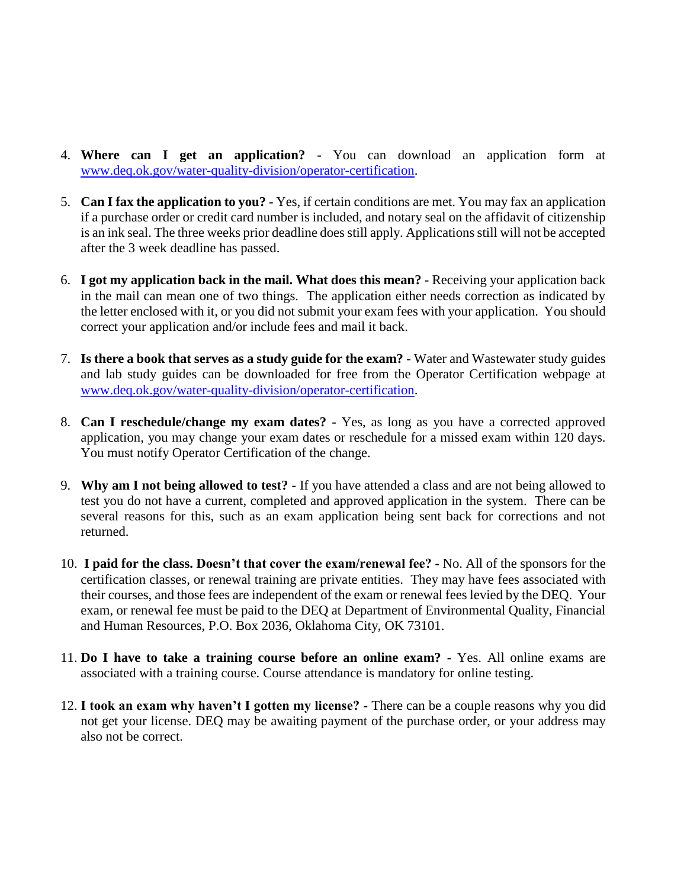- 4. **Where can I get an application? -** You can download an application form at [www.deq.ok.gov/water-quality-division/operator-certification.](http://www.deq.ok.gov/water-quality-division/operator-certification)
- 5. **Can I fax the application to you? -** Yes, if certain conditions are met. You may fax an application if a purchase order or credit card number is included, and notary seal on the affidavit of citizenship is an ink seal. The three weeks prior deadline does still apply. Applications still will not be accepted after the 3 week deadline has passed.
- 6. **I got my application back in the mail. What does this mean? -** Receiving your application back in the mail can mean one of two things. The application either needs correction as indicated by the letter enclosed with it, or you did not submit your exam fees with your application. You should correct your application and/or include fees and mail it back.
- 7. **Is there a book that serves as a study guide for the exam?** Water and Wastewater study guides and lab study guides can be downloaded for free from the Operator Certification webpage at [www.deq.ok.gov/water-quality-division/operator-certification.](http://www.deq.ok.gov/water-quality-division/operator-certification)
- 8. **Can I reschedule/change my exam dates? -** Yes, as long as you have a corrected approved application, you may change your exam dates or reschedule for a missed exam within 120 days. You must notify Operator Certification of the change.
- 9. **Why am I not being allowed to test? -** If you have attended a class and are not being allowed to test you do not have a current, completed and approved application in the system. There can be several reasons for this, such as an exam application being sent back for corrections and not returned.
- 10. **I paid for the class. Doesn't that cover the exam/renewal fee? -** No. All of the sponsors for the certification classes, or renewal training are private entities. They may have fees associated with their courses, and those fees are independent of the exam or renewal fees levied by the DEQ. Your exam, or renewal fee must be paid to the DEQ at Department of Environmental Quality, Financial and Human Resources, P.O. Box 2036, Oklahoma City, OK 73101.
- 11. **Do I have to take a training course before an online exam? -** Yes. All online exams are associated with a training course. Course attendance is mandatory for online testing.
- 12. **I took an exam why haven't I gotten my license? -** There can be a couple reasons why you did not get your license. DEQ may be awaiting payment of the purchase order, or your address may also not be correct.